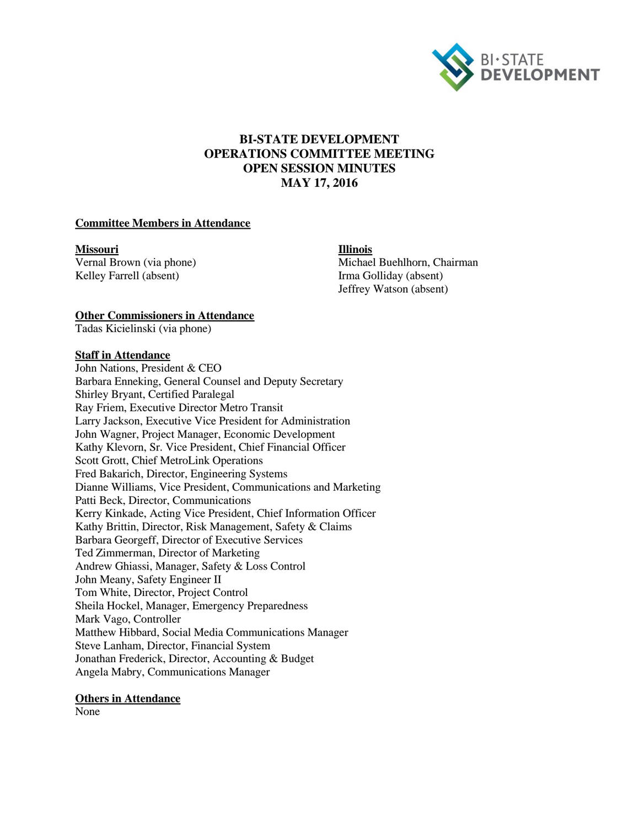

## **BI-STATE DEVELOPMENT OPERATIONS COMMITTEE MEETING OPEN SESSION MINUTES MAY 17, 2016**

#### **Committee Members in Attendance**

**Missouri Illinois**

Vernal Brown (via phone) Michael Buehlhorn, Chairman Kelley Farrell (absent) Irma Golliday (absent) Jeffrey Watson (absent)

#### **Other Commissioners in Attendance**

Tadas Kicielinski (via phone)

#### **Staff in Attendance**

John Nations, President & CEO Barbara Enneking, General Counsel and Deputy Secretary Shirley Bryant, Certified Paralegal Ray Friem, Executive Director Metro Transit Larry Jackson, Executive Vice President for Administration John Wagner, Project Manager, Economic Development Kathy Klevorn, Sr. Vice President, Chief Financial Officer Scott Grott, Chief MetroLink Operations Fred Bakarich, Director, Engineering Systems Dianne Williams, Vice President, Communications and Marketing Patti Beck, Director, Communications Kerry Kinkade, Acting Vice President, Chief Information Officer Kathy Brittin, Director, Risk Management, Safety & Claims Barbara Georgeff, Director of Executive Services Ted Zimmerman, Director of Marketing Andrew Ghiassi, Manager, Safety & Loss Control John Meany, Safety Engineer II Tom White, Director, Project Control Sheila Hockel, Manager, Emergency Preparedness Mark Vago, Controller Matthew Hibbard, Social Media Communications Manager Steve Lanham, Director, Financial System Jonathan Frederick, Director, Accounting & Budget Angela Mabry, Communications Manager

#### **Others in Attendance**

None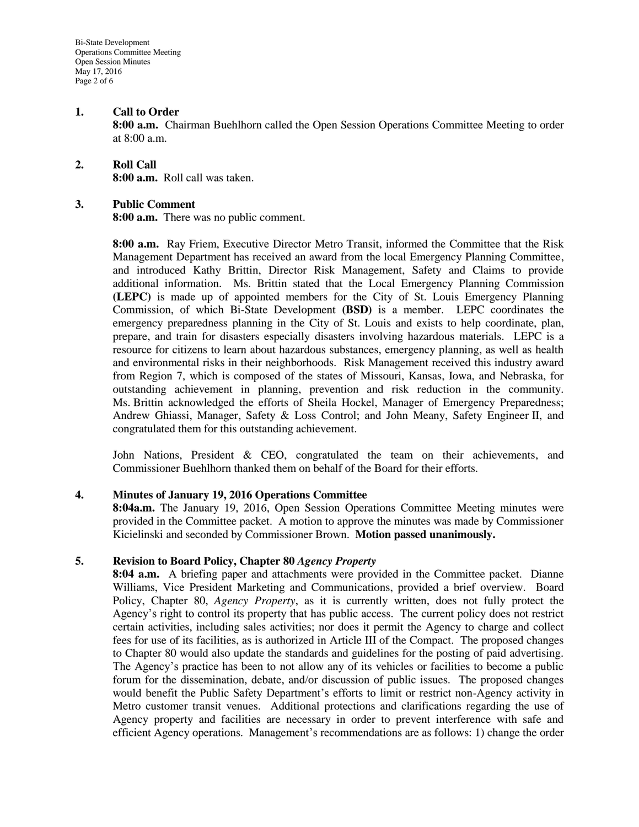#### **1. Call to Order**

**8:00 a.m.** Chairman Buehlhorn called the Open Session Operations Committee Meeting to order at 8:00 a.m.

# **2. Roll Call**

**8:00 a.m.** Roll call was taken.

#### **3. Public Comment**

**8:00 a.m.** There was no public comment.

**8:00 a.m.** Ray Friem, Executive Director Metro Transit, informed the Committee that the Risk Management Department has received an award from the local Emergency Planning Committee, and introduced Kathy Brittin, Director Risk Management, Safety and Claims to provide additional information. Ms. Brittin stated that the Local Emergency Planning Commission **(LEPC)** is made up of appointed members for the City of St. Louis Emergency Planning Commission, of which Bi-State Development **(BSD)** is a member. LEPC coordinates the emergency preparedness planning in the City of St. Louis and exists to help coordinate, plan, prepare, and train for disasters especially disasters involving hazardous materials. LEPC is a resource for citizens to learn about hazardous substances, emergency planning, as well as health and environmental risks in their neighborhoods. Risk Management received this industry award from Region 7, which is composed of the states of Missouri, Kansas, Iowa, and Nebraska, for outstanding achievement in planning, prevention and risk reduction in the community. Ms. Brittin acknowledged the efforts of Sheila Hockel, Manager of Emergency Preparedness; Andrew Ghiassi, Manager, Safety & Loss Control; and John Meany, Safety Engineer II, and congratulated them for this outstanding achievement.

John Nations, President & CEO, congratulated the team on their achievements, and Commissioner Buehlhorn thanked them on behalf of the Board for their efforts.

#### **4. Minutes of January 19, 2016 Operations Committee**

**8:04a.m.** The January 19, 2016, Open Session Operations Committee Meeting minutes were provided in the Committee packet. A motion to approve the minutes was made by Commissioner Kicielinski and seconded by Commissioner Brown. **Motion passed unanimously.**

#### **5. Revision to Board Policy, Chapter 80** *Agency Property*

**8:04 a.m.** A briefing paper and attachments were provided in the Committee packet. Dianne Williams, Vice President Marketing and Communications, provided a brief overview. Board Policy, Chapter 80, *Agency Property*, as it is currently written, does not fully protect the Agency's right to control its property that has public access. The current policy does not restrict certain activities, including sales activities; nor does it permit the Agency to charge and collect fees for use of its facilities, as is authorized in Article III of the Compact. The proposed changes to Chapter 80 would also update the standards and guidelines for the posting of paid advertising. The Agency's practice has been to not allow any of its vehicles or facilities to become a public forum for the dissemination, debate, and/or discussion of public issues. The proposed changes would benefit the Public Safety Department's efforts to limit or restrict non-Agency activity in Metro customer transit venues. Additional protections and clarifications regarding the use of Agency property and facilities are necessary in order to prevent interference with safe and efficient Agency operations. Management's recommendations are as follows: 1) change the order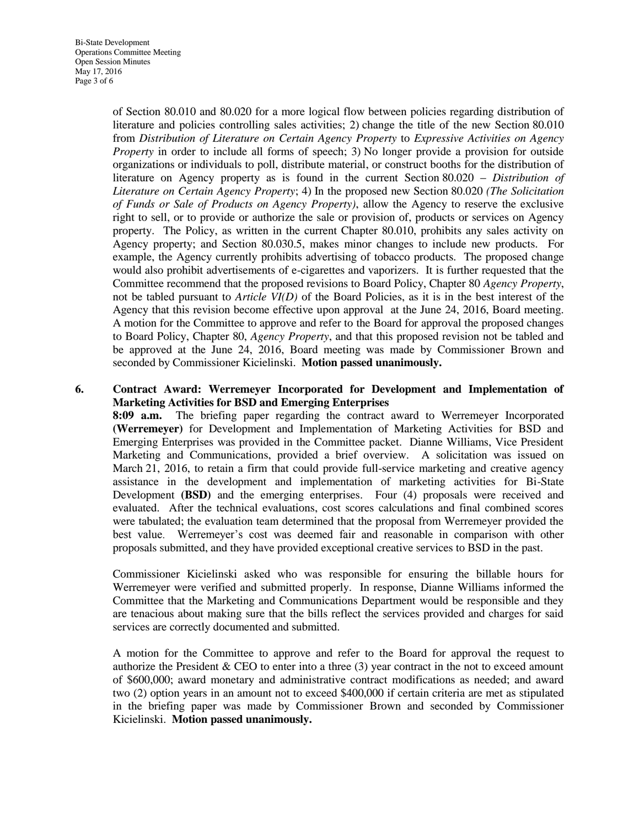of Section 80.010 and 80.020 for a more logical flow between policies regarding distribution of literature and policies controlling sales activities; 2) change the title of the new Section 80.010 from *Distribution of Literature on Certain Agency Property* to *Expressive Activities on Agency Property* in order to include all forms of speech; 3) No longer provide a provision for outside organizations or individuals to poll, distribute material, or construct booths for the distribution of literature on Agency property as is found in the current Section 80.020 – *Distribution of Literature on Certain Agency Property*; 4) In the proposed new Section 80.020 *(The Solicitation of Funds or Sale of Products on Agency Property)*, allow the Agency to reserve the exclusive right to sell, or to provide or authorize the sale or provision of, products or services on Agency property. The Policy, as written in the current Chapter 80.010, prohibits any sales activity on Agency property; and Section 80.030.5, makes minor changes to include new products. For example, the Agency currently prohibits advertising of tobacco products. The proposed change would also prohibit advertisements of e-cigarettes and vaporizers. It is further requested that the Committee recommend that the proposed revisions to Board Policy, Chapter 80 *Agency Property*, not be tabled pursuant to *Article VI(D)* of the Board Policies, as it is in the best interest of the Agency that this revision become effective upon approval at the June 24, 2016, Board meeting. A motion for the Committee to approve and refer to the Board for approval the proposed changes to Board Policy, Chapter 80, *Agency Property*, and that this proposed revision not be tabled and be approved at the June 24, 2016, Board meeting was made by Commissioner Brown and seconded by Commissioner Kicielinski. **Motion passed unanimously.**

### **6. Contract Award: Werremeyer Incorporated for Development and Implementation of Marketing Activities for BSD and Emerging Enterprises**

**8:09 a.m.** The briefing paper regarding the contract award to Werremeyer Incorporated **(Werremeyer)** for Development and Implementation of Marketing Activities for BSD and Emerging Enterprises was provided in the Committee packet. Dianne Williams, Vice President Marketing and Communications, provided a brief overview. A solicitation was issued on March 21, 2016, to retain a firm that could provide full-service marketing and creative agency assistance in the development and implementation of marketing activities for Bi-State Development **(BSD)** and the emerging enterprises. Four (4) proposals were received and evaluated. After the technical evaluations, cost scores calculations and final combined scores were tabulated; the evaluation team determined that the proposal from Werremeyer provided the best value. Werremeyer's cost was deemed fair and reasonable in comparison with other proposals submitted, and they have provided exceptional creative services to BSD in the past.

Commissioner Kicielinski asked who was responsible for ensuring the billable hours for Werremeyer were verified and submitted properly. In response, Dianne Williams informed the Committee that the Marketing and Communications Department would be responsible and they are tenacious about making sure that the bills reflect the services provided and charges for said services are correctly documented and submitted.

A motion for the Committee to approve and refer to the Board for approval the request to authorize the President & CEO to enter into a three (3) year contract in the not to exceed amount of \$600,000; award monetary and administrative contract modifications as needed; and award two (2) option years in an amount not to exceed \$400,000 if certain criteria are met as stipulated in the briefing paper was made by Commissioner Brown and seconded by Commissioner Kicielinski. **Motion passed unanimously.**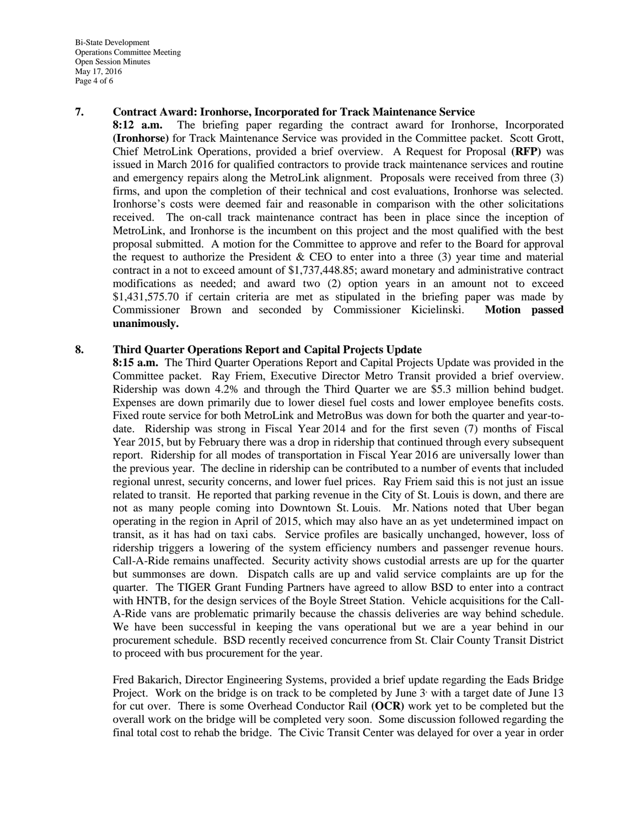Bi-State Development Operations Committee Meeting Open Session Minutes May 17, 2016 Page 4 of 6

#### **7. Contract Award: Ironhorse, Incorporated for Track Maintenance Service**

**8:12 a.m.** The briefing paper regarding the contract award for Ironhorse, Incorporated **(Ironhorse)** for Track Maintenance Service was provided in the Committee packet. Scott Grott, Chief MetroLink Operations, provided a brief overview. A Request for Proposal **(RFP)** was issued in March 2016 for qualified contractors to provide track maintenance services and routine and emergency repairs along the MetroLink alignment. Proposals were received from three (3) firms, and upon the completion of their technical and cost evaluations, Ironhorse was selected. Ironhorse's costs were deemed fair and reasonable in comparison with the other solicitations received. The on-call track maintenance contract has been in place since the inception of MetroLink, and Ironhorse is the incumbent on this project and the most qualified with the best proposal submitted. A motion for the Committee to approve and refer to the Board for approval the request to authorize the President & CEO to enter into a three  $(3)$  year time and material contract in a not to exceed amount of \$1,737,448.85; award monetary and administrative contract modifications as needed; and award two (2) option years in an amount not to exceed \$1,431,575.70 if certain criteria are met as stipulated in the briefing paper was made by Commissioner Brown and seconded by Commissioner Kicielinski. **Motion passed unanimously.** 

#### **8. Third Quarter Operations Report and Capital Projects Update**

**8:15 a.m.** The Third Quarter Operations Report and Capital Projects Update was provided in the Committee packet. Ray Friem, Executive Director Metro Transit provided a brief overview. Ridership was down 4.2% and through the Third Quarter we are \$5.3 million behind budget. Expenses are down primarily due to lower diesel fuel costs and lower employee benefits costs. Fixed route service for both MetroLink and MetroBus was down for both the quarter and year-todate. Ridership was strong in Fiscal Year 2014 and for the first seven (7) months of Fiscal Year 2015, but by February there was a drop in ridership that continued through every subsequent report. Ridership for all modes of transportation in Fiscal Year 2016 are universally lower than the previous year. The decline in ridership can be contributed to a number of events that included regional unrest, security concerns, and lower fuel prices. Ray Friem said this is not just an issue related to transit. He reported that parking revenue in the City of St. Louis is down, and there are not as many people coming into Downtown St. Louis. Mr. Nations noted that Uber began operating in the region in April of 2015, which may also have an as yet undetermined impact on transit, as it has had on taxi cabs. Service profiles are basically unchanged, however, loss of ridership triggers a lowering of the system efficiency numbers and passenger revenue hours. Call-A-Ride remains unaffected. Security activity shows custodial arrests are up for the quarter but summonses are down. Dispatch calls are up and valid service complaints are up for the quarter. The TIGER Grant Funding Partners have agreed to allow BSD to enter into a contract with HNTB, for the design services of the Boyle Street Station. Vehicle acquisitions for the Call-A-Ride vans are problematic primarily because the chassis deliveries are way behind schedule. We have been successful in keeping the vans operational but we are a year behind in our procurement schedule. BSD recently received concurrence from St. Clair County Transit District to proceed with bus procurement for the year.

Fred Bakarich, Director Engineering Systems, provided a brief update regarding the Eads Bridge Project. Work on the bridge is on track to be completed by June  $3$  with a target date of June 13 for cut over. There is some Overhead Conductor Rail **(OCR)** work yet to be completed but the overall work on the bridge will be completed very soon. Some discussion followed regarding the final total cost to rehab the bridge. The Civic Transit Center was delayed for over a year in order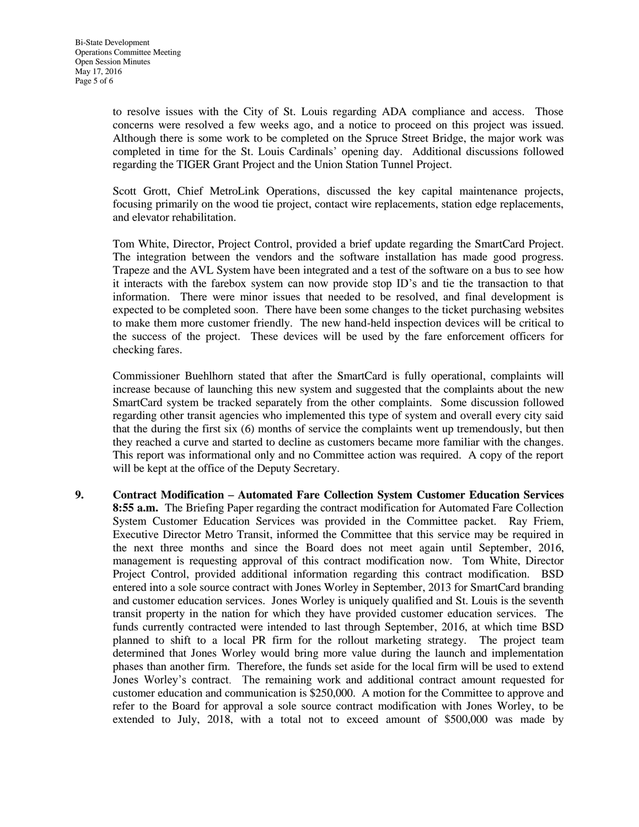to resolve issues with the City of St. Louis regarding ADA compliance and access. Those concerns were resolved a few weeks ago, and a notice to proceed on this project was issued. Although there is some work to be completed on the Spruce Street Bridge, the major work was completed in time for the St. Louis Cardinals' opening day. Additional discussions followed regarding the TIGER Grant Project and the Union Station Tunnel Project.

Scott Grott, Chief MetroLink Operations, discussed the key capital maintenance projects, focusing primarily on the wood tie project, contact wire replacements, station edge replacements, and elevator rehabilitation.

Tom White, Director, Project Control, provided a brief update regarding the SmartCard Project. The integration between the vendors and the software installation has made good progress. Trapeze and the AVL System have been integrated and a test of the software on a bus to see how it interacts with the farebox system can now provide stop ID's and tie the transaction to that information. There were minor issues that needed to be resolved, and final development is expected to be completed soon. There have been some changes to the ticket purchasing websites to make them more customer friendly. The new hand-held inspection devices will be critical to the success of the project. These devices will be used by the fare enforcement officers for checking fares.

Commissioner Buehlhorn stated that after the SmartCard is fully operational, complaints will increase because of launching this new system and suggested that the complaints about the new SmartCard system be tracked separately from the other complaints. Some discussion followed regarding other transit agencies who implemented this type of system and overall every city said that the during the first six (6) months of service the complaints went up tremendously, but then they reached a curve and started to decline as customers became more familiar with the changes. This report was informational only and no Committee action was required. A copy of the report will be kept at the office of the Deputy Secretary.

**9. Contract Modification – Automated Fare Collection System Customer Education Services 8:55 a.m.** The Briefing Paper regarding the contract modification for Automated Fare Collection System Customer Education Services was provided in the Committee packet. Ray Friem, Executive Director Metro Transit, informed the Committee that this service may be required in the next three months and since the Board does not meet again until September, 2016, management is requesting approval of this contract modification now. Tom White, Director Project Control, provided additional information regarding this contract modification. BSD entered into a sole source contract with Jones Worley in September, 2013 for SmartCard branding and customer education services. Jones Worley is uniquely qualified and St. Louis is the seventh transit property in the nation for which they have provided customer education services. The funds currently contracted were intended to last through September, 2016, at which time BSD planned to shift to a local PR firm for the rollout marketing strategy. The project team determined that Jones Worley would bring more value during the launch and implementation phases than another firm. Therefore, the funds set aside for the local firm will be used to extend Jones Worley's contract. The remaining work and additional contract amount requested for customer education and communication is \$250,000. A motion for the Committee to approve and refer to the Board for approval a sole source contract modification with Jones Worley, to be extended to July, 2018, with a total not to exceed amount of \$500,000 was made by